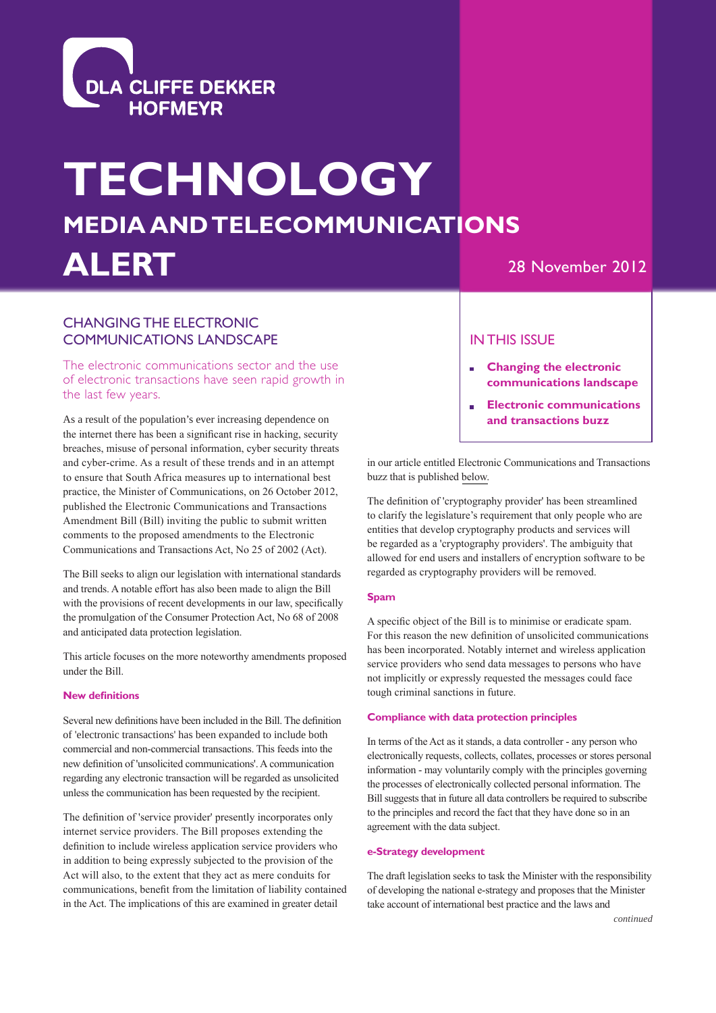

# **MEDIA AND TELECOMMUNICATIONS TECHNOLOGY ALERT**

# 28 November 2012

# CHANGING THE ELECTRONIC COMMUNICATIONS LANDSCAPE

The electronic communications sector and the use of electronic transactions have seen rapid growth in the last few years.

As a result of the population's ever increasing dependence on the internet there has been a significant rise in hacking, security breaches, misuse of personal information, cyber security threats and cyber-crime. As a result of these trends and in an attempt to ensure that South Africa measures up to international best practice, the Minister of Communications, on 26 October 2012, published the Electronic Communications and Transactions Amendment Bill (Bill) inviting the public to submit written comments to the proposed amendments to the Electronic Communications and Transactions Act, No 25 of 2002 (Act).

The Bill seeks to align our legislation with international standards and trends. A notable effort has also been made to align the Bill with the provisions of recent developments in our law, specifically the promulgation of the Consumer Protection Act, No 68 of 2008 and anticipated data protection legislation.

This article focuses on the more noteworthy amendments proposed under the Bill.

#### **New definitions**

Several new definitions have been included in the Bill. The definition of 'electronic transactions' has been expanded to include both commercial and non-commercial transactions. This feeds into the new definition of 'unsolicited communications'. A communication regarding any electronic transaction will be regarded as unsolicited unless the communication has been requested by the recipient.

The definition of 'service provider' presently incorporates only internet service providers. The Bill proposes extending the definition to include wireless application service providers who in addition to being expressly subjected to the provision of the Act will also, to the extent that they act as mere conduits for communications, benefit from the limitation of liability contained in the Act. The implications of this are examined in greater detail

### IN THIS ISSUE

- **Changing the electronic communications landscape**
- **Electronic communications and transactions buzz**

in our article entitled Electronic Communications and Transactions buzz that is published [below.](#page-2-0)

The definition of 'cryptography provider' has been streamlined to clarify the legislature's requirement that only people who are entities that develop cryptography products and services will be regarded as a 'cryptography providers'. The ambiguity that allowed for end users and installers of encryption software to be regarded as cryptography providers will be removed.

#### **Spam**

A specific object of the Bill is to minimise or eradicate spam. For this reason the new definition of unsolicited communications has been incorporated. Notably internet and wireless application service providers who send data messages to persons who have not implicitly or expressly requested the messages could face tough criminal sanctions in future.

#### **Compliance with data protection principles**

In terms of the Act as it stands, a data controller - any person who electronically requests, collects, collates, processes or stores personal information - may voluntarily comply with the principles governing the processes of electronically collected personal information. The Bill suggests that in future all data controllers be required to subscribe to the principles and record the fact that they have done so in an agreement with the data subject.

#### **e-Strategy development**

The draft legislation seeks to task the Minister with the responsibility of developing the national e-strategy and proposes that the Minister take account of international best practice and the laws and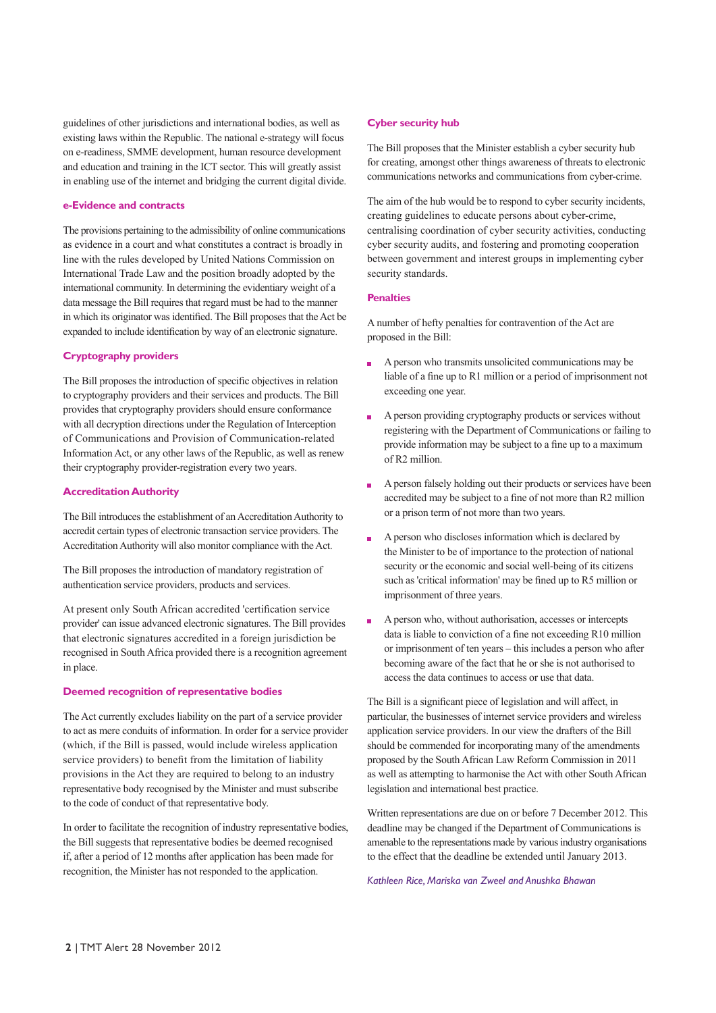guidelines of other jurisdictions and international bodies, as well as existing laws within the Republic. The national e-strategy will focus on e-readiness, SMME development, human resource development and education and training in the ICT sector. This will greatly assist in enabling use of the internet and bridging the current digital divide.

#### **e-Evidence and contracts**

The provisions pertaining to the admissibility of online communications as evidence in a court and what constitutes a contract is broadly in line with the rules developed by United Nations Commission on International Trade Law and the position broadly adopted by the international community. In determining the evidentiary weight of a data message the Bill requires that regard must be had to the manner in which its originator was identified. The Bill proposes that the Act be expanded to include identification by way of an electronic signature.

#### **Cryptography providers**

The Bill proposes the introduction of specific objectives in relation to cryptography providers and their services and products. The Bill provides that cryptography providers should ensure conformance with all decryption directions under the Regulation of Interception of Communications and Provision of Communication-related Information Act, or any other laws of the Republic, as well as renew their cryptography provider-registration every two years.

#### **Accreditation Authority**

The Bill introduces the establishment of an Accreditation Authority to accredit certain types of electronic transaction service providers. The Accreditation Authority will also monitor compliance with the Act.

The Bill proposes the introduction of mandatory registration of authentication service providers, products and services.

At present only South African accredited 'certification service provider' can issue advanced electronic signatures. The Bill provides that electronic signatures accredited in a foreign jurisdiction be recognised in South Africa provided there is a recognition agreement in place.

#### **Deemed recognition of representative bodies**

The Act currently excludes liability on the part of a service provider to act as mere conduits of information. In order for a service provider (which, if the Bill is passed, would include wireless application service providers) to benefit from the limitation of liability provisions in the Act they are required to belong to an industry representative body recognised by the Minister and must subscribe to the code of conduct of that representative body.

In order to facilitate the recognition of industry representative bodies, the Bill suggests that representative bodies be deemed recognised if, after a period of 12 months after application has been made for recognition, the Minister has not responded to the application.

#### **Cyber security hub**

The Bill proposes that the Minister establish a cyber security hub for creating, amongst other things awareness of threats to electronic communications networks and communications from cyber-crime.

The aim of the hub would be to respond to cyber security incidents, creating guidelines to educate persons about cyber-crime, centralising coordination of cyber security activities, conducting cyber security audits, and fostering and promoting cooperation between government and interest groups in implementing cyber security standards.

#### **Penalties**

A number of hefty penalties for contravention of the Act are proposed in the Bill:

- A person who transmits unsolicited communications may be liable of a fine up to R1 million or a period of imprisonment not exceeding one year.
- A person providing cryptography products or services without registering with the Department of Communications or failing to provide information may be subject to a fine up to a maximum of R2 million.
- A person falsely holding out their products or services have been  $\mathbf{r}$ accredited may be subject to a fine of not more than R2 million or a prison term of not more than two years.
- A person who discloses information which is declared by the Minister to be of importance to the protection of national security or the economic and social well-being of its citizens such as 'critical information' may be fined up to R5 million or imprisonment of three years.
- A person who, without authorisation, accesses or intercepts F data is liable to conviction of a fine not exceeding R10 million or imprisonment of ten years – this includes a person who after becoming aware of the fact that he or she is not authorised to access the data continues to access or use that data.

The Bill is a significant piece of legislation and will affect, in particular, the businesses of internet service providers and wireless application service providers. In our view the drafters of the Bill should be commended for incorporating many of the amendments proposed by the South African Law Reform Commission in 2011 as well as attempting to harmonise the Act with other South African legislation and international best practice.

Written representations are due on or before 7 December 2012. This deadline may be changed if the Department of Communications is amenable to the representations made by various industry organisations to the effect that the deadline be extended until January 2013.

*Kathleen Rice, Mariska van Zweel and Anushka Bhawan*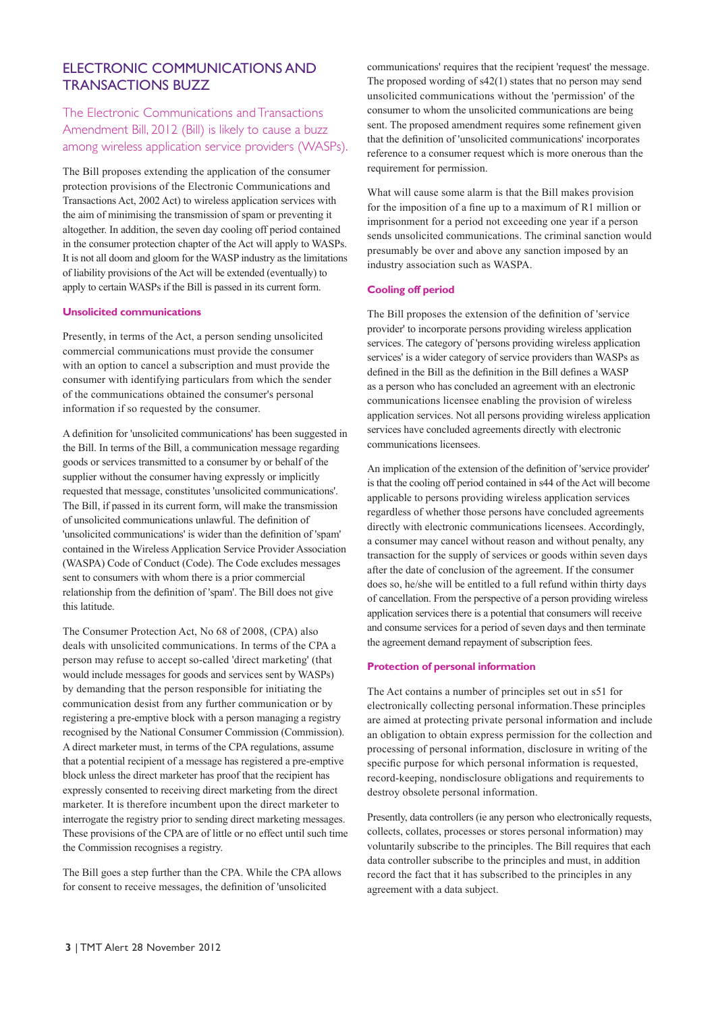## <span id="page-2-0"></span>ELECTRONIC COMMUNICATIONS AND TRANSACTIONS BUZZ

The Electronic Communications and Transactions Amendment Bill, 2012 (Bill) is likely to cause a buzz among wireless application service providers (WASPs).

The Bill proposes extending the application of the consumer protection provisions of the Electronic Communications and Transactions Act, 2002 Act) to wireless application services with the aim of minimising the transmission of spam or preventing it altogether. In addition, the seven day cooling off period contained in the consumer protection chapter of the Act will apply to WASPs. It is not all doom and gloom for the WASP industry as the limitations of liability provisions of the Act will be extended (eventually) to apply to certain WASPs if the Bill is passed in its current form.

#### **Unsolicited communications**

Presently, in terms of the Act, a person sending unsolicited commercial communications must provide the consumer with an option to cancel a subscription and must provide the consumer with identifying particulars from which the sender of the communications obtained the consumer's personal information if so requested by the consumer.

A definition for 'unsolicited communications' has been suggested in the Bill. In terms of the Bill, a communication message regarding goods or services transmitted to a consumer by or behalf of the supplier without the consumer having expressly or implicitly requested that message, constitutes 'unsolicited communications'. The Bill, if passed in its current form, will make the transmission of unsolicited communications unlawful. The definition of 'unsolicited communications' is wider than the definition of 'spam' contained in the Wireless Application Service Provider Association (WASPA) Code of Conduct (Code). The Code excludes messages sent to consumers with whom there is a prior commercial relationship from the definition of 'spam'. The Bill does not give this latitude.

The Consumer Protection Act, No 68 of 2008, (CPA) also deals with unsolicited communications. In terms of the CPA a person may refuse to accept so-called 'direct marketing' (that would include messages for goods and services sent by WASPs) by demanding that the person responsible for initiating the communication desist from any further communication or by registering a pre-emptive block with a person managing a registry recognised by the National Consumer Commission (Commission). A direct marketer must, in terms of the CPA regulations, assume that a potential recipient of a message has registered a pre-emptive block unless the direct marketer has proof that the recipient has expressly consented to receiving direct marketing from the direct marketer. It is therefore incumbent upon the direct marketer to interrogate the registry prior to sending direct marketing messages. These provisions of the CPA are of little or no effect until such time the Commission recognises a registry.

The Bill goes a step further than the CPA. While the CPA allows for consent to receive messages, the definition of 'unsolicited

communications' requires that the recipient 'request' the message. The proposed wording of s42(1) states that no person may send unsolicited communications without the 'permission' of the consumer to whom the unsolicited communications are being sent. The proposed amendment requires some refinement given that the definition of 'unsolicited communications' incorporates reference to a consumer request which is more onerous than the requirement for permission.

What will cause some alarm is that the Bill makes provision for the imposition of a fine up to a maximum of R1 million or imprisonment for a period not exceeding one year if a person sends unsolicited communications. The criminal sanction would presumably be over and above any sanction imposed by an industry association such as WASPA.

#### **Cooling off period**

The Bill proposes the extension of the definition of 'service provider' to incorporate persons providing wireless application services. The category of 'persons providing wireless application services' is a wider category of service providers than WASPs as defined in the Bill as the definition in the Bill defines a WASP as a person who has concluded an agreement with an electronic communications licensee enabling the provision of wireless application services. Not all persons providing wireless application services have concluded agreements directly with electronic communications licensees.

An implication of the extension of the definition of 'service provider' is that the cooling off period contained in s44 of the Act will become applicable to persons providing wireless application services regardless of whether those persons have concluded agreements directly with electronic communications licensees. Accordingly, a consumer may cancel without reason and without penalty, any transaction for the supply of services or goods within seven days after the date of conclusion of the agreement. If the consumer does so, he/she will be entitled to a full refund within thirty days of cancellation. From the perspective of a person providing wireless application services there is a potential that consumers will receive and consume services for a period of seven days and then terminate the agreement demand repayment of subscription fees.

#### **Protection of personal information**

The Act contains a number of principles set out in s51 for electronically collecting personal information.These principles are aimed at protecting private personal information and include an obligation to obtain express permission for the collection and processing of personal information, disclosure in writing of the specific purpose for which personal information is requested, record-keeping, nondisclosure obligations and requirements to destroy obsolete personal information.

Presently, data controllers (ie any person who electronically requests, collects, collates, processes or stores personal information) may voluntarily subscribe to the principles. The Bill requires that each data controller subscribe to the principles and must, in addition record the fact that it has subscribed to the principles in any agreement with a data subject.